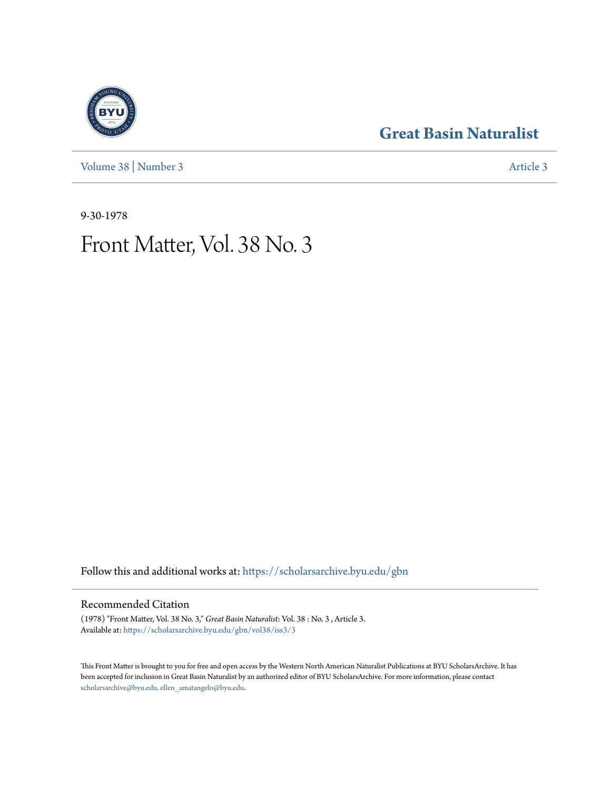[Volume 38](https://scholarsarchive.byu.edu/gbn/vol38?utm_source=scholarsarchive.byu.edu%2Fgbn%2Fvol38%2Fiss3%2F3&utm_medium=PDF&utm_campaign=PDFCoverPages) | [Number 3](https://scholarsarchive.byu.edu/gbn/vol38/iss3?utm_source=scholarsarchive.byu.edu%2Fgbn%2Fvol38%2Fiss3%2F3&utm_medium=PDF&utm_campaign=PDFCoverPages) [Article 3](https://scholarsarchive.byu.edu/gbn/vol38/iss3/3?utm_source=scholarsarchive.byu.edu%2Fgbn%2Fvol38%2Fiss3%2F3&utm_medium=PDF&utm_campaign=PDFCoverPages)

## **[Great Basin Naturalist](https://scholarsarchive.byu.edu/gbn?utm_source=scholarsarchive.byu.edu%2Fgbn%2Fvol38%2Fiss3%2F3&utm_medium=PDF&utm_campaign=PDFCoverPages)**

9-30-1978

# Front Matter, Vol. 38 No. 3

Follow this and additional works at: [https://scholarsarchive.byu.edu/gbn](https://scholarsarchive.byu.edu/gbn?utm_source=scholarsarchive.byu.edu%2Fgbn%2Fvol38%2Fiss3%2F3&utm_medium=PDF&utm_campaign=PDFCoverPages)

### Recommended Citation

(1978) "Front Matter, Vol. 38 No. 3," *Great Basin Naturalist*: Vol. 38 : No. 3 , Article 3. Available at: [https://scholarsarchive.byu.edu/gbn/vol38/iss3/3](https://scholarsarchive.byu.edu/gbn/vol38/iss3/3?utm_source=scholarsarchive.byu.edu%2Fgbn%2Fvol38%2Fiss3%2F3&utm_medium=PDF&utm_campaign=PDFCoverPages)

This Front Matter is brought to you for free and open access by the Western North American Naturalist Publications at BYU ScholarsArchive. It has been accepted for inclusion in Great Basin Naturalist by an authorized editor of BYU ScholarsArchive. For more information, please contact [scholarsarchive@byu.edu, ellen\\_amatangelo@byu.edu.](mailto:scholarsarchive@byu.edu,%20ellen_amatangelo@byu.edu)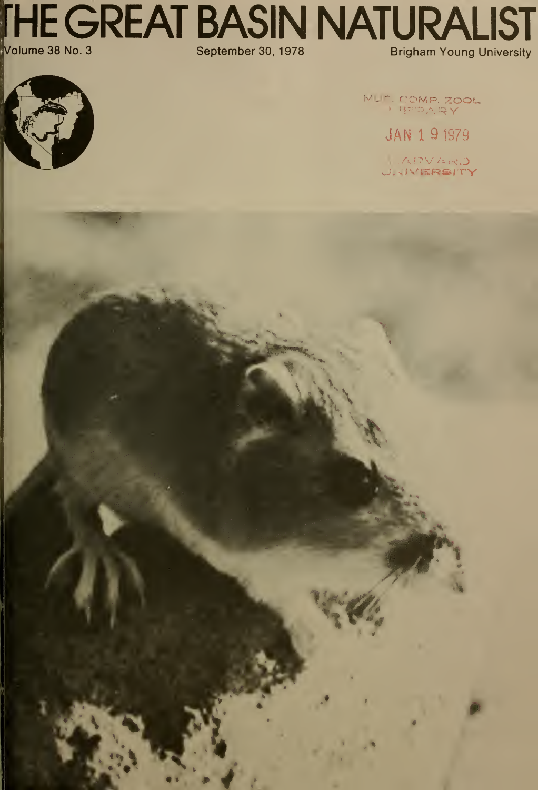**THE GREAT BASIN NATURALIST**<br>Volume 38 No. 3



MUL COMP, ZOOL

**JAN 1 9 1979** 

ARVARD<br>J. KIVERSITY